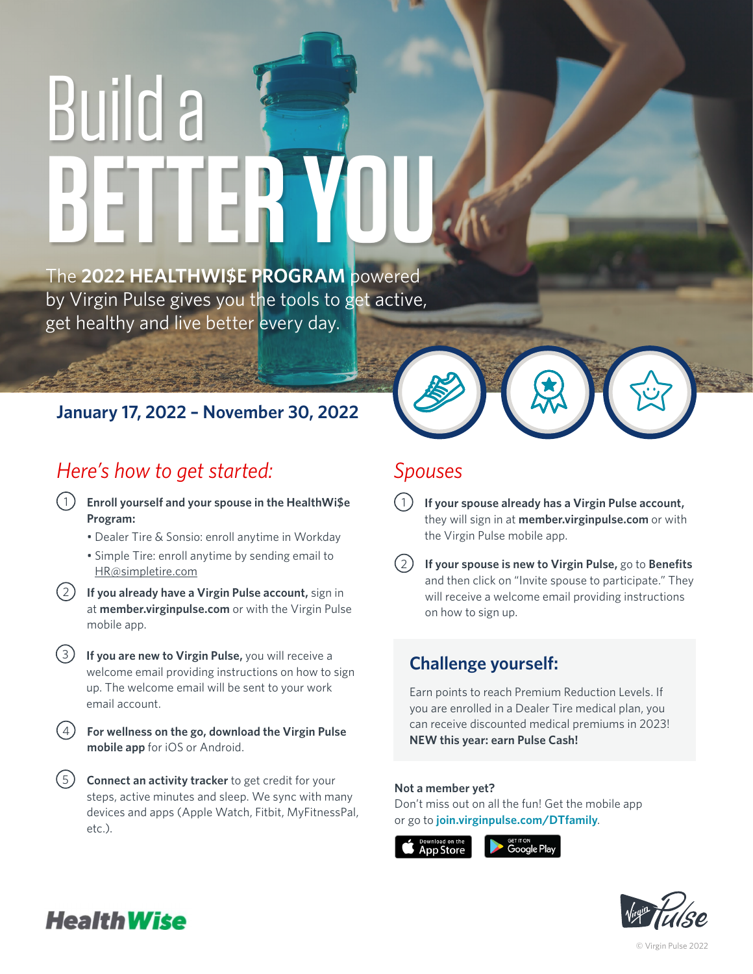# Build a **BETTER YOU**

The **2022 HEALTHWI\$E PROGRAM** powered by Virgin Pulse gives you the tools to get active, get healthy and live better every day.

#### **January 17, 2022 – November 30, 2022**

## *Here's how to get started:*

- 1 1 **Enroll yourself and your spouse in the HealthWi\$e Program:**
	- Dealer Tire & Sonsio: enroll anytime in Workday
	- Simple Tire: enroll anytime by sending email to HR@simpletire.com
- **If you already have a Virgin Pulse account,** sign in at **member.virginpulse.com** or with the Virgin Pulse mobile app.  $(2)$ 
	- **If you are new to Virgin Pulse,** you will receive a welcome email providing instructions on how to sign up. The welcome email will be sent to your work email account. 3
	- **For wellness on the go, download the Virgin Pulse**  4 **mobile app** for iOS or Android.
	- **Connect an activity tracker** to get credit for your 5 steps, active minutes and sleep. We sync with many devices and apps (Apple Watch, Fitbit, MyFitnessPal, etc.).

#### *Spouses*

- **If your spouse already has a Virgin Pulse account,**  they will sign in at **member.virginpulse.com** or with the Virgin Pulse mobile app.
- **If your spouse is new to Virgin Pulse,** go to **Benefits** and then click on "Invite spouse to participate." They will receive a welcome email providing instructions on how to sign up.  $(2)$

### **Challenge yourself:**

Earn points to reach Premium Reduction Levels. If you are enrolled in a Dealer Tire medical plan, you can receive discounted medical premiums in 2023! **NEW this year: earn Pulse Cash!**

#### **Not a member yet?**

Don't miss out on all the fun! Get the mobile app or go to **join.virginpulse.com/DTfamily**.









© Virgin Pulse 2022